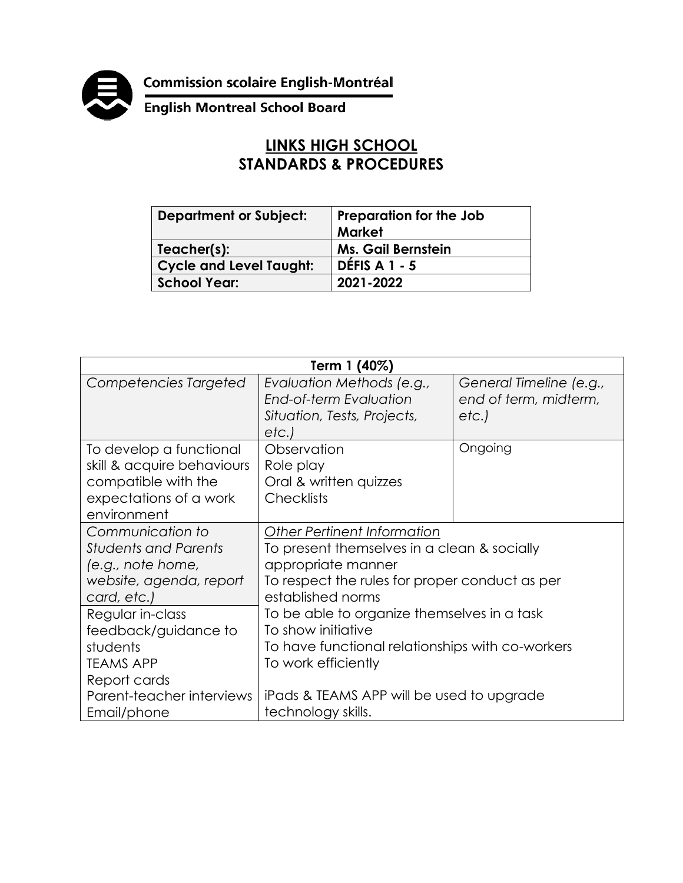**Commission scolaire English-Montréal<br>English Montreal School Board** 



## **LINKS HIGH SCHOOL STANDARDS & PROCEDURES**

| <b>Department or Subject:</b>  | <b>Preparation for the Job</b><br><b>Market</b> |
|--------------------------------|-------------------------------------------------|
| Teacher(s):                    | <b>Ms. Gail Bernstein</b>                       |
| <b>Cycle and Level Taught:</b> | <b>DÉFIS A 1 - 5</b>                            |
| <b>School Year:</b>            | 2021-2022                                       |

| Term 1 (40%)                                                                                                          |                                                                                                                                                                                |                                                          |  |
|-----------------------------------------------------------------------------------------------------------------------|--------------------------------------------------------------------------------------------------------------------------------------------------------------------------------|----------------------------------------------------------|--|
| Competencies Targeted                                                                                                 | Evaluation Methods (e.g.,<br><b>End-of-term Evaluation</b><br>Situation, Tests, Projects,<br>etc.)                                                                             | General Timeline (e.g.,<br>end of term, midterm,<br>etc. |  |
| To develop a functional<br>skill & acquire behaviours<br>compatible with the<br>expectations of a work<br>environment | Observation<br>Role play<br>Oral & written quizzes<br><b>Checklists</b>                                                                                                        | Ongoing                                                  |  |
| Communication to<br><b>Students and Parents</b><br>(e.g., note home,<br>website, agenda, report<br>card, etc.)        | <b>Other Pertinent Information</b><br>To present themselves in a clean & socially<br>appropriate manner<br>To respect the rules for proper conduct as per<br>established norms |                                                          |  |
| Regular in-class<br>feedback/guidance to<br>students<br><b>TEAMS APP</b><br>Report cards                              | To be able to organize themselves in a task<br>To show initiative<br>To have functional relationships with co-workers<br>To work efficiently                                   |                                                          |  |
| Parent-teacher interviews<br>Email/phone                                                                              | iPads & TEAMS APP will be used to upgrade<br>technology skills.                                                                                                                |                                                          |  |